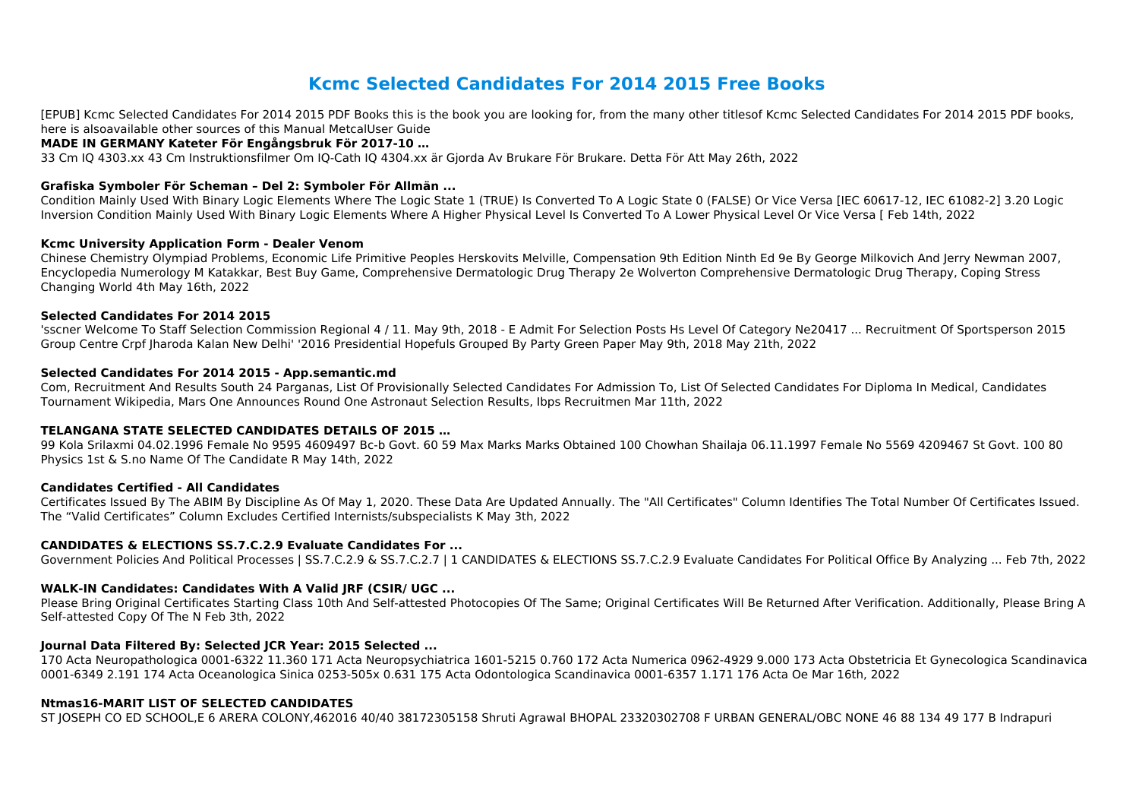# **Kcmc Selected Candidates For 2014 2015 Free Books**

[EPUB] Kcmc Selected Candidates For 2014 2015 PDF Books this is the book you are looking for, from the many other titlesof Kcmc Selected Candidates For 2014 2015 PDF books, here is alsoavailable other sources of this Manual MetcalUser Guide

#### **MADE IN GERMANY Kateter För Engångsbruk För 2017-10 …**

33 Cm IQ 4303.xx 43 Cm Instruktionsfilmer Om IQ-Cath IQ 4304.xx är Gjorda Av Brukare För Brukare. Detta För Att May 26th, 2022

#### **Grafiska Symboler För Scheman – Del 2: Symboler För Allmän ...**

Condition Mainly Used With Binary Logic Elements Where The Logic State 1 (TRUE) Is Converted To A Logic State 0 (FALSE) Or Vice Versa [IEC 60617-12, IEC 61082-2] 3.20 Logic Inversion Condition Mainly Used With Binary Logic Elements Where A Higher Physical Level Is Converted To A Lower Physical Level Or Vice Versa [ Feb 14th, 2022

#### **Kcmc University Application Form - Dealer Venom**

Chinese Chemistry Olympiad Problems, Economic Life Primitive Peoples Herskovits Melville, Compensation 9th Edition Ninth Ed 9e By George Milkovich And Jerry Newman 2007, Encyclopedia Numerology M Katakkar, Best Buy Game, Comprehensive Dermatologic Drug Therapy 2e Wolverton Comprehensive Dermatologic Drug Therapy, Coping Stress Changing World 4th May 16th, 2022

#### **Selected Candidates For 2014 2015**

'sscner Welcome To Staff Selection Commission Regional 4 / 11. May 9th, 2018 - E Admit For Selection Posts Hs Level Of Category Ne20417 ... Recruitment Of Sportsperson 2015 Group Centre Crpf Jharoda Kalan New Delhi' '2016 Presidential Hopefuls Grouped By Party Green Paper May 9th, 2018 May 21th, 2022

#### **Selected Candidates For 2014 2015 - App.semantic.md**

Com, Recruitment And Results South 24 Parganas, List Of Provisionally Selected Candidates For Admission To, List Of Selected Candidates For Diploma In Medical, Candidates Tournament Wikipedia, Mars One Announces Round One Astronaut Selection Results, Ibps Recruitmen Mar 11th, 2022

#### **TELANGANA STATE SELECTED CANDIDATES DETAILS OF 2015 …**

99 Kola Srilaxmi 04.02.1996 Female No 9595 4609497 Bc-b Govt. 60 59 Max Marks Marks Obtained 100 Chowhan Shailaja 06.11.1997 Female No 5569 4209467 St Govt. 100 80 Physics 1st & S.no Name Of The Candidate R May 14th, 2022

#### **Candidates Certified - All Candidates**

Certificates Issued By The ABIM By Discipline As Of May 1, 2020. These Data Are Updated Annually. The "All Certificates" Column Identifies The Total Number Of Certificates Issued. The "Valid Certificates" Column Excludes Certified Internists/subspecialists K May 3th, 2022

#### **CANDIDATES & ELECTIONS SS.7.C.2.9 Evaluate Candidates For ...**

Government Policies And Political Processes | SS.7.C.2.9 & SS.7.C.2.7 | 1 CANDIDATES & ELECTIONS SS.7.C.2.9 Evaluate Candidates For Political Office By Analyzing ... Feb 7th, 2022

#### **WALK-IN Candidates: Candidates With A Valid JRF (CSIR/ UGC ...**

Please Bring Original Certificates Starting Class 10th And Self-attested Photocopies Of The Same; Original Certificates Will Be Returned After Verification. Additionally, Please Bring A Self-attested Copy Of The N Feb 3th, 2022

#### **Journal Data Filtered By: Selected JCR Year: 2015 Selected ...**

170 Acta Neuropathologica 0001-6322 11.360 171 Acta Neuropsychiatrica 1601-5215 0.760 172 Acta Numerica 0962-4929 9.000 173 Acta Obstetricia Et Gynecologica Scandinavica 0001-6349 2.191 174 Acta Oceanologica Sinica 0253-505x 0.631 175 Acta Odontologica Scandinavica 0001-6357 1.171 176 Acta Oe Mar 16th, 2022

#### **Ntmas16-MARIT LIST OF SELECTED CANDIDATES**

ST JOSEPH CO ED SCHOOL,E 6 ARERA COLONY,462016 40/40 38172305158 Shruti Agrawal BHOPAL 23320302708 F URBAN GENERAL/OBC NONE 46 88 134 49 177 B Indrapuri

- 
- 
- 
- 
- 
- 
- 
- 
- 
-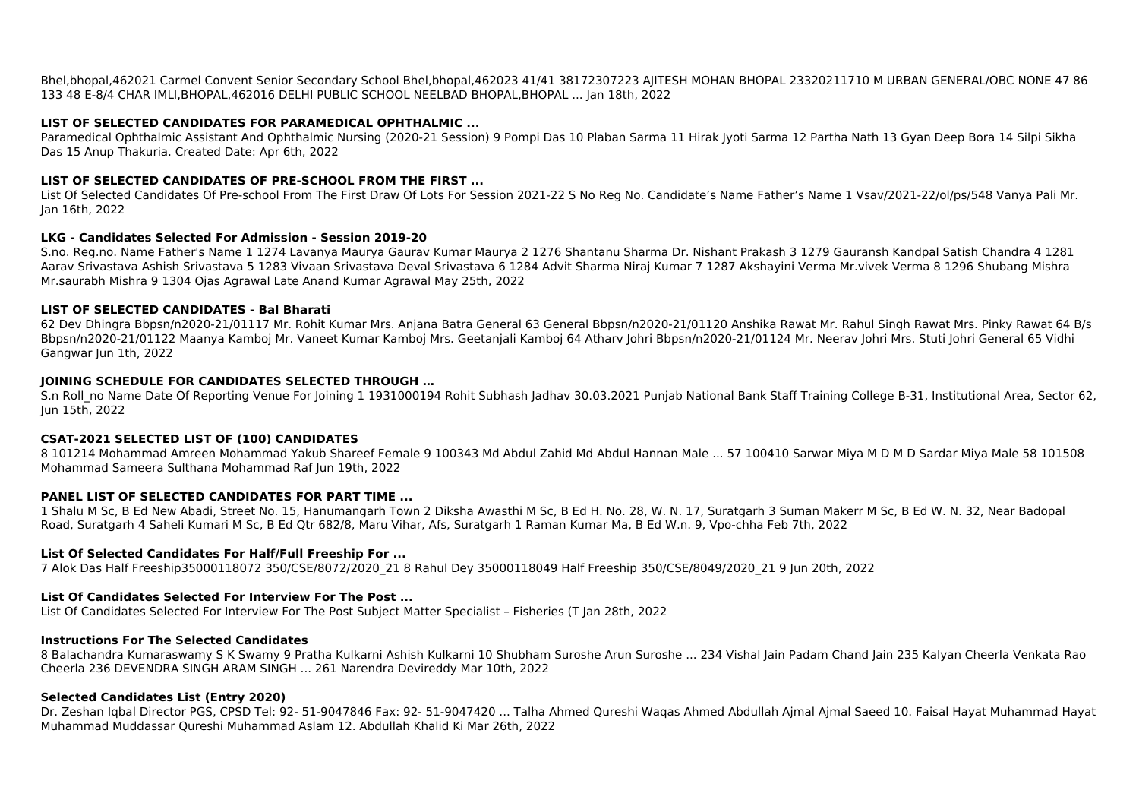133 48 E-8/4 CHAR IMLI,BHOPAL,462016 DELHI PUBLIC SCHOOL NEELBAD BHOPAL,BHOPAL ... Jan 18th, 2022

### **LIST OF SELECTED CANDIDATES FOR PARAMEDICAL OPHTHALMIC ...**

Paramedical Ophthalmic Assistant And Ophthalmic Nursing (2020-21 Session) 9 Pompi Das 10 Plaban Sarma 11 Hirak Jyoti Sarma 12 Partha Nath 13 Gyan Deep Bora 14 Silpi Sikha Das 15 Anup Thakuria. Created Date: Apr 6th, 2022

# **LIST OF SELECTED CANDIDATES OF PRE-SCHOOL FROM THE FIRST ...**

List Of Selected Candidates Of Pre-school From The First Draw Of Lots For Session 2021-22 S No Reg No. Candidate's Name Father's Name 1 Vsav/2021-22/ol/ps/548 Vanya Pali Mr. Jan 16th, 2022

#### **LKG - Candidates Selected For Admission - Session 2019-20**

S.n Roll no Name Date Of Reporting Venue For Joining 1 1931000194 Rohit Subhash Jadhav 30.03.2021 Punjab National Bank Staff Training College B-31, Institutional Area, Sector 62, Jun 15th, 2022

S.no. Reg.no. Name Father's Name 1 1274 Lavanya Maurya Gaurav Kumar Maurya 2 1276 Shantanu Sharma Dr. Nishant Prakash 3 1279 Gauransh Kandpal Satish Chandra 4 1281 Aarav Srivastava Ashish Srivastava 5 1283 Vivaan Srivastava Deval Srivastava 6 1284 Advit Sharma Niraj Kumar 7 1287 Akshayini Verma Mr.vivek Verma 8 1296 Shubang Mishra Mr.saurabh Mishra 9 1304 Ojas Agrawal Late Anand Kumar Agrawal May 25th, 2022

# **LIST OF SELECTED CANDIDATES - Bal Bharati**

62 Dev Dhingra Bbpsn/n2020-21/01117 Mr. Rohit Kumar Mrs. Anjana Batra General 63 General Bbpsn/n2020-21/01120 Anshika Rawat Mr. Rahul Singh Rawat Mrs. Pinky Rawat 64 B/s Bbpsn/n2020-21/01122 Maanya Kamboj Mr. Vaneet Kumar Kamboj Mrs. Geetanjali Kamboj 64 Atharv Johri Bbpsn/n2020-21/01124 Mr. Neerav Johri Mrs. Stuti Johri General 65 Vidhi Gangwar Jun 1th, 2022

# **JOINING SCHEDULE FOR CANDIDATES SELECTED THROUGH …**

# **CSAT-2021 SELECTED LIST OF (100) CANDIDATES**

8 101214 Mohammad Amreen Mohammad Yakub Shareef Female 9 100343 Md Abdul Zahid Md Abdul Hannan Male ... 57 100410 Sarwar Miya M D M D Sardar Miya Male 58 101508 Mohammad Sameera Sulthana Mohammad Raf Jun 19th, 2022

#### **PANEL LIST OF SELECTED CANDIDATES FOR PART TIME ...**

1 Shalu M Sc, B Ed New Abadi, Street No. 15, Hanumangarh Town 2 Diksha Awasthi M Sc, B Ed H. No. 28, W. N. 17, Suratgarh 3 Suman Makerr M Sc, B Ed W. N. 32, Near Badopal Road, Suratgarh 4 Saheli Kumari M Sc, B Ed Qtr 682/8, Maru Vihar, Afs, Suratgarh 1 Raman Kumar Ma, B Ed W.n. 9, Vpo-chha Feb 7th, 2022

#### **List Of Selected Candidates For Half/Full Freeship For ...**

7 Alok Das Half Freeship35000118072 350/CSE/8072/2020\_21 8 Rahul Dey 35000118049 Half Freeship 350/CSE/8049/2020\_21 9 Jun 20th, 2022

# **List Of Candidates Selected For Interview For The Post ...**

List Of Candidates Selected For Interview For The Post Subject Matter Specialist – Fisheries (T Jan 28th, 2022

#### **Instructions For The Selected Candidates**

8 Balachandra Kumaraswamy S K Swamy 9 Pratha Kulkarni Ashish Kulkarni 10 Shubham Suroshe Arun Suroshe ... 234 Vishal Jain Padam Chand Jain 235 Kalyan Cheerla Venkata Rao Cheerla 236 DEVENDRA SINGH ARAM SINGH ... 261 Narendra Devireddy Mar 10th, 2022

#### **Selected Candidates List (Entry 2020)**

Dr. Zeshan Iqbal Director PGS, CPSD Tel: 92- 51-9047846 Fax: 92- 51-9047420 ... Talha Ahmed Qureshi Waqas Ahmed Abdullah Ajmal Ajmal Saeed 10. Faisal Hayat Muhammad Hayat Muhammad Muddassar Qureshi Muhammad Aslam 12. Abdullah Khalid Ki Mar 26th, 2022